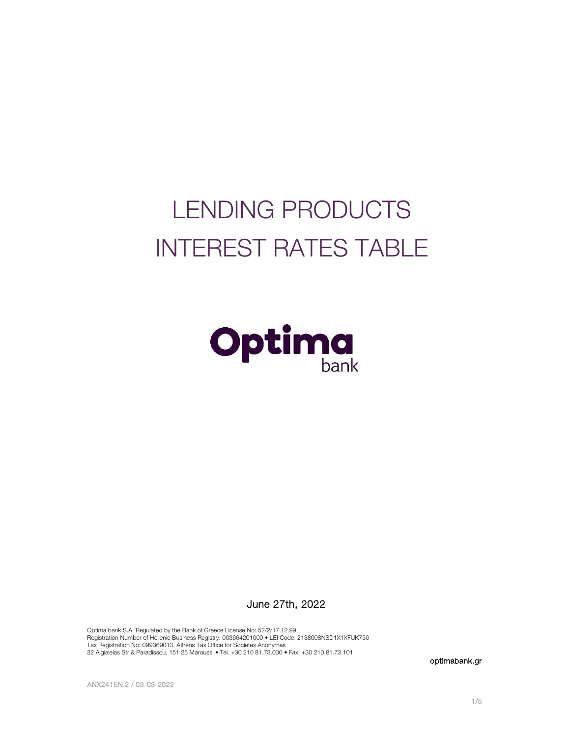# LENDING PRODUCTS INTEREST RATES TABLE



## June 27th, 2022

Optima bank S.A. Regulated by the Bank of Greece License No: 52/2/17.12.99 Registration Number of Hellenic Business Registry: 003664201000 • LEI Code: 2138008NSD1X1XFUK750 Tax Registration No: 099369013, Athens Tax Office for Societes Anonymes 32 Aigialeias Str & Paradissou, 151 25 Maroussi • Tel. +30 210 81.73.000 • Fax. +30 210 81.73.101

optimabank.gr

ANX241EN.2 / 03-03-2022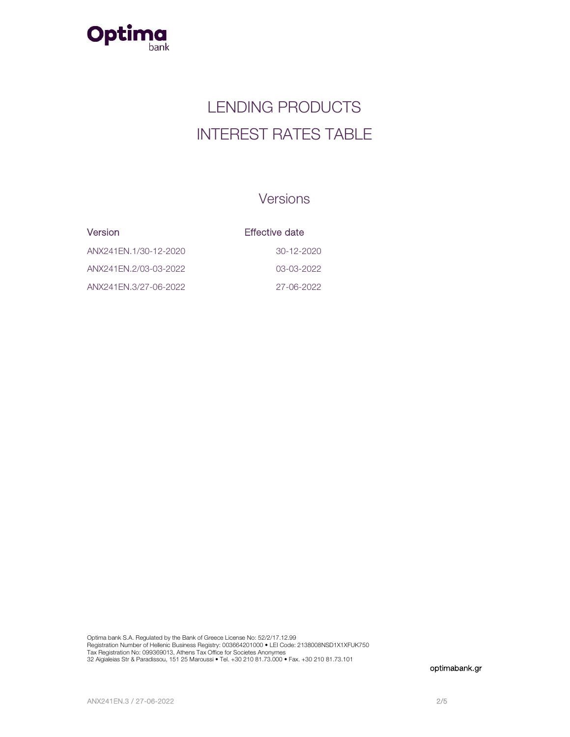

## LENDING PRODUCTS INTEREST RATES TABLE

## Versions

| <b>Version</b>        | Effective date |
|-----------------------|----------------|
| ANX241EN.1/30-12-2020 | $30-12-2020$   |
| ANX241EN.2/03-03-2022 | 03-03-2022     |
| ANX241EN.3/27-06-2022 | 27-06-2022     |

Optima bank S.A. Regulated by the Bank of Greece License No: 52/2/17.12.99 Registration Number of Hellenic Business Registry: 003664201000 • LEI Code: 2138008NSD1X1XFUK750<br>Tax Registration No: 099369013, Athens Tax Office for Societes Anonymes<br>32 Aigialeias Str & Paradissou, 151 25 Maroussi • Tel

optimabank.gr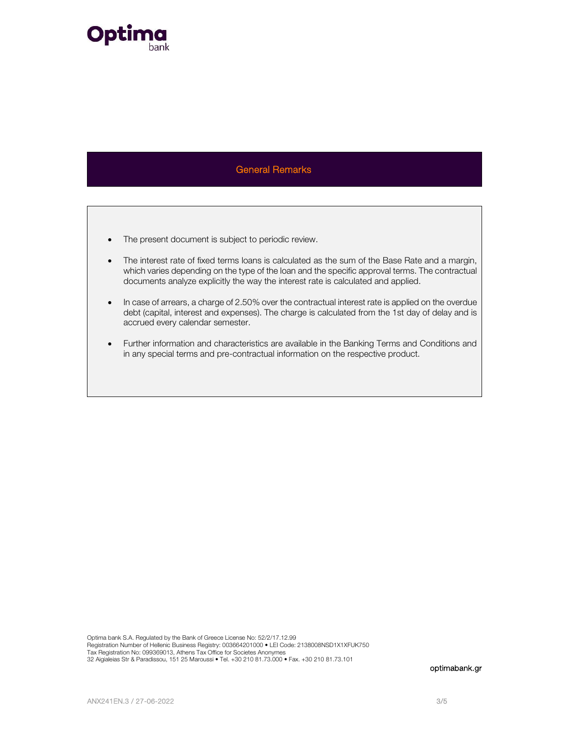

### General Remarks and Contract Contract Contract Contract Contract Contract Contract Contract Contract Contract C

- The present document is subject to periodic review.
- The interest rate of fixed terms loans is calculated as the sum of the Base Rate and a margin, which varies depending on the type of the loan and the specific approval terms. The contractual documents analyze explicitly the way the interest rate is calculated and applied.
- In case of arrears, a charge of 2.50% over the contractual interest rate is applied on the overdue debt (capital, interest and expenses). The charge is calculated from the 1st day of delay and is accrued every calendar semester.
- Further information and characteristics are available in the Banking Terms and Conditions and in any special terms and pre-contractual information on the respective product.

Optima bank S.A. Regulated by the Bank of Greece License No: 52/2/17.12.99 Registration Number of Hellenic Business Registry: 003664201000 • LEI Code: 2138008NSD1X1XFUK750 Tax Registration No: 099369013, Athens Tax Office for Societes Anonymes 32 Aigialeias Str & Paradissou, 151 25 Maroussi • Tel. +30 210 81.73.000 • Fax. +30 210 81.73.101

optimabank.gr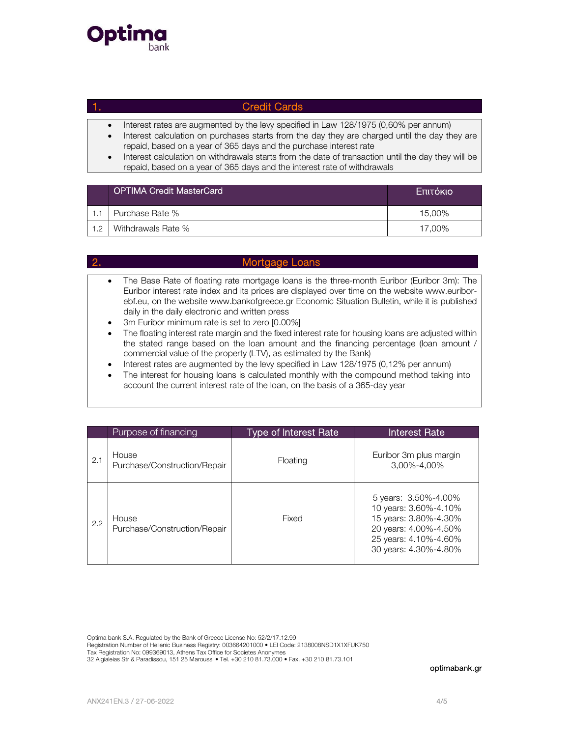

## 1. Credit Cards

- Interest rates are augmented by the levy specified in Law 128/1975 (0,60% per annum)
- Interest calculation on purchases starts from the day they are charged until the day they are repaid, based on a year of 365 days and the purchase interest rate
- Interest calculation on withdrawals starts from the date of transaction until the day they will be repaid, based on a year of 365 days and the interest rate of withdrawals

|     | <b>OPTIMA Credit MasterCard</b> | Επιτόκιο |
|-----|---------------------------------|----------|
|     | Purchase Rate %                 | 15.00%   |
| 1.2 | Withdrawals Rate %              | 17.00%   |

|                                                               | Mortgage Loans                                                                                                                                                                                                                                                                                                                                                                                                                                                                                                                                                                                                                                                                                                                                                                                                                                                                                                                                |
|---------------------------------------------------------------|-----------------------------------------------------------------------------------------------------------------------------------------------------------------------------------------------------------------------------------------------------------------------------------------------------------------------------------------------------------------------------------------------------------------------------------------------------------------------------------------------------------------------------------------------------------------------------------------------------------------------------------------------------------------------------------------------------------------------------------------------------------------------------------------------------------------------------------------------------------------------------------------------------------------------------------------------|
| $\bullet$<br>$\bullet$<br>$\bullet$<br>$\bullet$<br>$\bullet$ | The Base Rate of floating rate mortgage loans is the three-month Euribor (Euribor 3m): The<br>Euribor interest rate index and its prices are displayed over time on the website www.euribor-<br>ebf.eu, on the website www.bankofgreece.gr Economic Situation Bulletin, while it is published<br>daily in the daily electronic and written press<br>3m Euribor minimum rate is set to zero [0.00%]<br>The floating interest rate margin and the fixed interest rate for housing loans are adjusted within<br>the stated range based on the loan amount and the financing percentage (loan amount /<br>commercial value of the property (LTV), as estimated by the Bank)<br>Interest rates are augmented by the levy specified in Law 128/1975 (0,12% per annum)<br>The interest for housing loans is calculated monthly with the compound method taking into<br>account the current interest rate of the loan, on the basis of a 365-day year |

|     | Purpose of financing                  | <b>Type of Interest Rate</b> | <b>Interest Rate</b>                                                                                                                              |
|-----|---------------------------------------|------------------------------|---------------------------------------------------------------------------------------------------------------------------------------------------|
| 2.1 | House<br>Purchase/Construction/Repair | Floating                     | Euribor 3m plus margin<br>3.00%-4.00%                                                                                                             |
| 2.2 | House<br>Purchase/Construction/Repair | Fixed                        | 5 years: 3.50%-4.00%<br>10 years: 3.60%-4.10%<br>15 years: 3.80%-4.30%<br>20 years: 4.00%-4.50%<br>25 years: 4.10%-4.60%<br>30 years: 4.30%-4.80% |

Optima bank S.A. Regulated by the Bank of Greece License No: 52/2/17.12.99

Registration Number of Hellenic Business Registry: 003664201000 • LEI Code: 2138008NSD1X1XFUK750

Tax Registration No: 099369013, Athens Tax Office for Societes Anonymes 32 Aigialeias Str & Paradissou, 151 25 Maroussi • Tel. +30 210 81.73.000 • Fax. +30 210 81.73.101